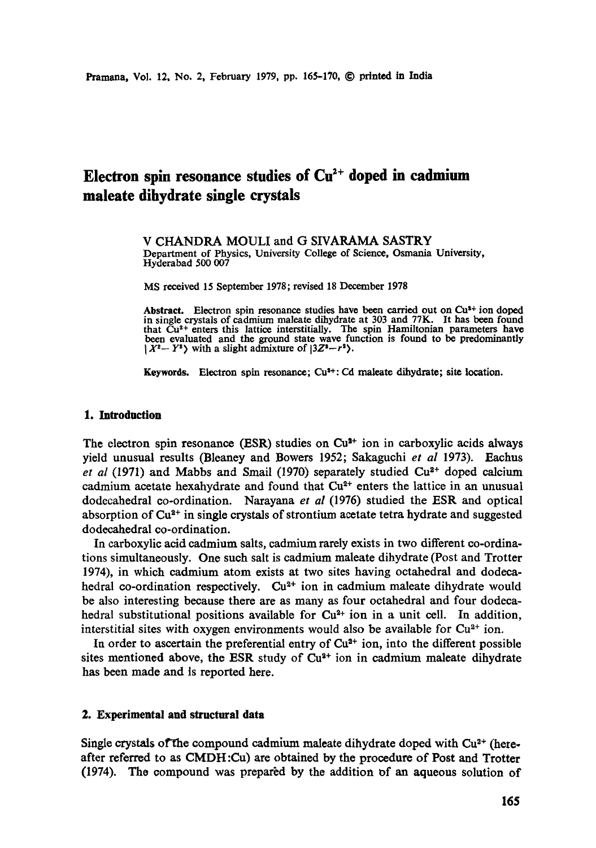# Electron spin resonance studies of  $Cu^{2+}$  doped in cadmium **maleate dihydrate single crystals**

V CHANDRA MOULI and G SIVARAMA SASTRY Department of Physics, University College of Science, Osmania University, Hyderabad 500 007

MS received 15 September 1978; revised 18 December 1978

Abstract. Electron spin resonance studies have been carried out on Cu<sup>3+</sup> ion doped in single crystals of cadmium maleate dihydrate at 303 and 77K. It has been found that Cu<sup>2+</sup> enters this lattice interstitially. The spin Hamiltonian parameters have been evaluated and the ground state wave function is found to be predominantly  $|X^2-Y^2\rangle$  with a slight admixture of  $|3Z^2-r^2\rangle$ .

**Keywords.** Electron spin resonance; Cu<sup>3+</sup>: Cd maleate dihydrate; site location.

#### **1. Introduction**

The electron spin resonance (ESR) studies on  $Cu<sup>3+</sup>$  ion in carboxylic acids always yield unusual results (Bleaney and Bowers 1952; Sakaguchi *et al* 1973). Eachus *et al* (1971) and Mabbs and Smail (1970) separately studied  $Cu<sup>2+</sup>$  doped calcium cadmium acetate hexahydrate and found that  $Cu<sup>2+</sup>$  enters the lattice in an unusual dodecahedral co-ordination. Naxayana *et al* (1976) studied the ESR and optical absorption of  $Cu<sup>2+</sup>$  in single crystals of strontium acetate tetra hydrate and suggested dodecahedral co-ordination.

In earboxylie acid cadmium salts, cadmium rarely exists in two different co-ordinations simultaneously. One such salt is cadmium maleate dihydrate (Post and Trotter 1974), in which cadmium atom exists at two sites having oetahedral and dodecahedral co-ordination respectively.  $Cu<sup>2+</sup>$  ion in cadmium maleate dihydrate would be also interesting because there are as many as four octahedral and four dodecahedral substitutional positions available for  $Cu^{2+}$  ion in a unit cell. In addition, interstitial sites with oxygen environments would also be available for  $Cu^{2+}$  ion.

In order to ascertain the preferential entry of  $Cu<sup>2+</sup>$  ion, into the different possible sites mentioned above, the ESR study of  $Cu<sup>2+</sup>$  ion in cadmium maleate dihydrate has been made and is reported here.

## **2. Experimental and structural data**

Single crystals of the compound cadmium maleate dihydrate doped with  $Cu<sup>2+</sup>$  (hereafter referred to as CMDH :Cu) are obtained by the procedure of Post and Trotter (1974). The compound was prepared by the addition of an aqueous solution of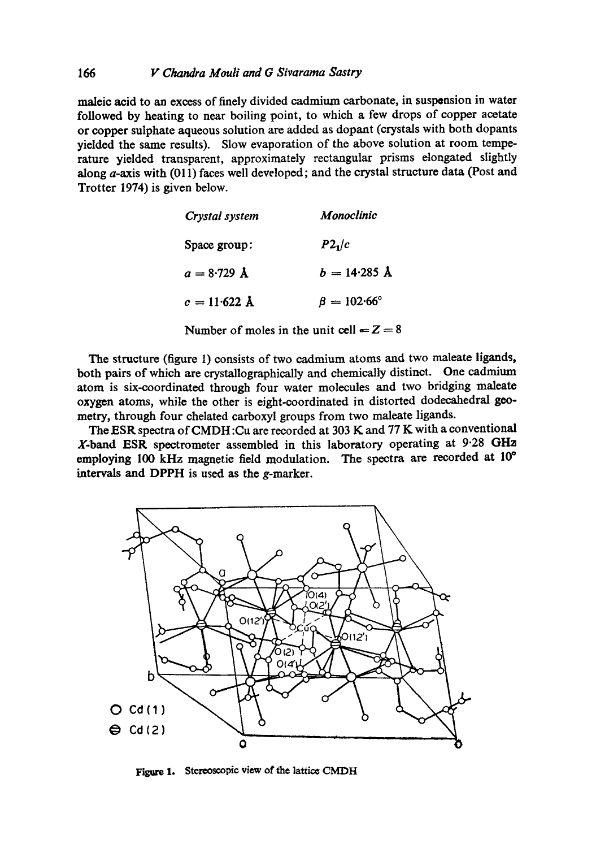## 166 *F F Chandra Mouli and G Sivarama Sastry*

maleic acid to an excess of finely divided cadmium carbonate, in suspension in water followed by heating to near boiling point, to which a few drops of copper acetate or copper sulphate aqueous solution are added as dopant (crystals with both dopants yielded the same results). Slow evaporation of the above solution at room temperature yielded transparent, approximately rectangular prisms elongated slightly along a-axis with (011) faces well developed; and the crystal structure data (Post and Trotter 1974) is given below.

| Crystal system         | Monoclinic             |  |  |
|------------------------|------------------------|--|--|
| Space group:           | $P2_1/c$               |  |  |
| $a = 8.729$ Å          | $b = 14.285$ Å         |  |  |
| $c = 11.622 \text{ Å}$ | $\beta = 102.66^\circ$ |  |  |

Number of moles in the unit cell  $= Z = 8$ 

The structure (figure 1) consists of two cadmium atoms and two maleate ligands, both pairs of which are crystallographically and chemically distinct. One cadmium atom is six-coordinated through four water molecules and two bridging maleate oxygen atoms, while the other is eight-coordinated in distorted dodecahedral geometry, through four chelated carboxyl groups from two maleate ligands.

The ESR spectra of CMDH :Cu are recorded at 303 K and 77 K with a conventional X-band ESR spectrometer assembled in this laboratory operating at 9.28 GHz employing 100 kHz magnetic field modulation. The spectra are recorded at 10° intervals and DPPH is used as the g-marker.



Figure 1. Stereoscopic view of the lattice CMDH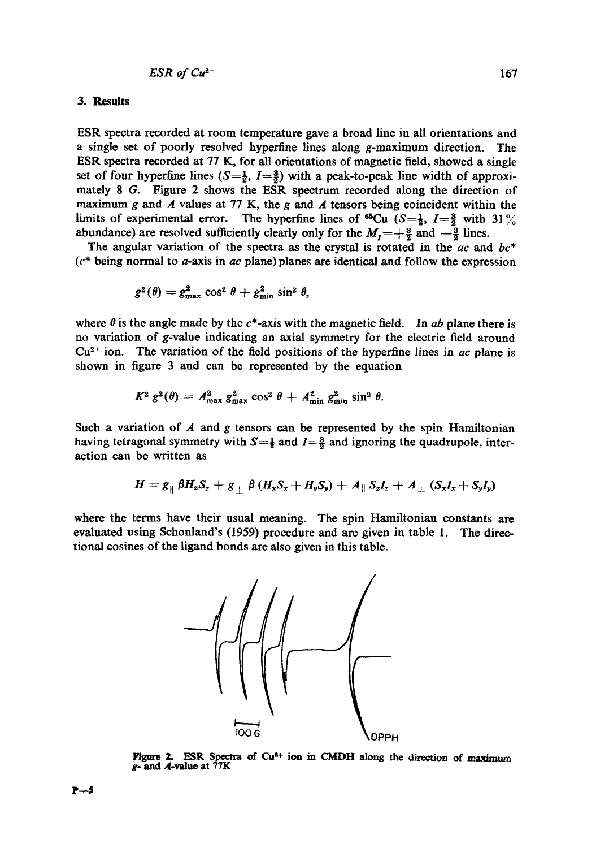#### **3. Results**

ESR spectra recorded at room temperature gave a broad line in all orientations and a single set of poorly resolved hyperfine lines along  $g$ -maximum direction. The ESR spectra recorded at 77 K, for all orientations of magnetic field, showed a single set of four hyperfine lines  $(S=\frac{1}{2}, I=\frac{3}{2})$  with a peak-to-peak line width of approximately 8 G. Figure 2 shows the ESR spectrum recorded along the direction of maximum g and  $\vec{A}$  values at 77 K, the g and  $\vec{A}$  tensors being coincident within the limits of experimental error. The hyperfine lines of <sup>65</sup>Cu (S= $\frac{1}{2}$ , I= $\frac{3}{2}$  with 31% abundance) are resolved sufficiently clearly only for the  $M_1 = +\frac{3}{2}$  and  $-\frac{3}{2}$  lines.

The angular variation of the spectra as the crystal is rotated in the *ac* and *bc\**  (c\* being normal to a-axis in *ac* plane) planes are identical and follow the expression

$$
g^2(\theta) = g_{\text{max}}^2 \cos^2 \theta + g_{\text{min}}^2 \sin^2 \theta,
$$

where  $\theta$  is the angle made by the  $c^*$ -axis with the magnetic field. In *ab* plane there is no variation of g-value indicating an axial symmetry for the electric field around  $Cu<sup>2+</sup>$  ion. The variation of the field positions of the hyperfine lines in *ac* plane is shown in figure 3 and can be represented by the equation

$$
K^2 g^2(\theta) = A_{\text{max}}^2 g_{\text{max}}^2 \cos^2 \theta + A_{\text{min}}^2 g_{\text{min}}^2 \sin^2 \theta.
$$

Such a variation of  $A$  and  $g$  tensors can be represented by the spin Hamiltonian having tetragonal symmetry with  $S=\frac{1}{2}$  and  $I=\frac{3}{2}$  and ignoring the quadrupole, interaction can be written as

$$
H = g_{\parallel} \beta H_z S_z + g_{\perp} \beta (H_x S_x + H_y S_y) + A_{\parallel} S_z I_z + A_{\perp} (S_x I_x + S_y I_y)
$$

where the terms have their usual meaning. The spin Hamiltonian constants are evaluated using Schonland's (1959) procedure and are given in table 1. The directional cosines of the ligand bonds are also given in this table.



Figure 2. ESR Spectra of Cu<sup>2+</sup> ion in CMDH along the direction of maximum  $g$ - and A-value at  $77K$ 

**P~5**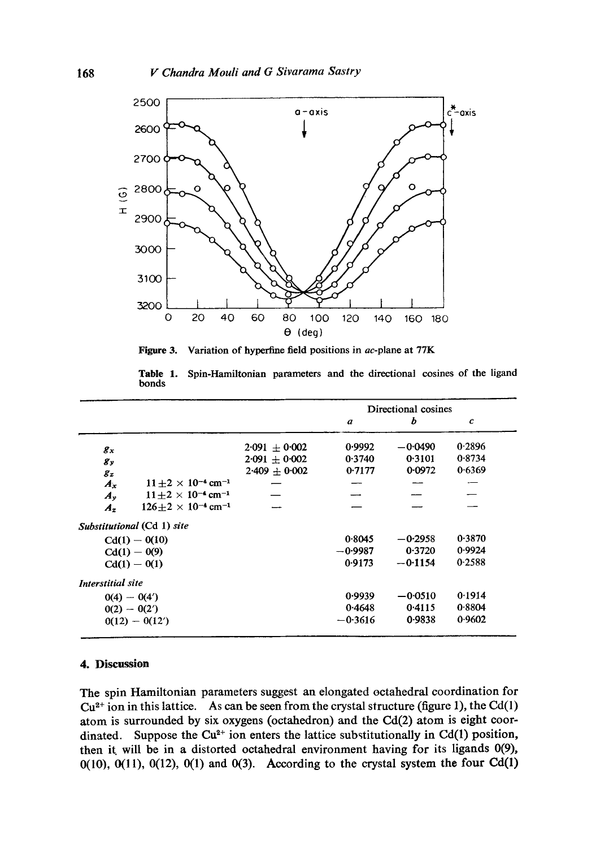

**Figure 3.**  Variation of hyperfine field positions in ac-plane at 77K

**Table** 1. Spin-Hamiltonian parameters and the directional cosines of the ligand bonds

|                          |                                            |                 | Directional cosines |           |                             |  |
|--------------------------|--------------------------------------------|-----------------|---------------------|-----------|-----------------------------|--|
|                          |                                            |                 | $\boldsymbol{a}$    | b         | $\mathcal{C}_{\mathcal{C}}$ |  |
| $g_x$                    |                                            | $2.091 + 0.002$ | 0.9992              | $-0.0490$ | 0.2896                      |  |
| $g_y$                    |                                            | $2.091 + 0.002$ | 0.3740              | 0.3101    | 0.8734                      |  |
| $g_z$                    |                                            | $2.409 + 0.002$ | 0.7177              | 0.0972    | 0.6369                      |  |
| $A_x$                    | $11 \pm 2 \times 10^{-4}$ cm <sup>-1</sup> |                 |                     |           |                             |  |
| $A_{\nu}$                | $11+2 \times 10^{-4}$ cm <sup>-1</sup>     |                 |                     |           |                             |  |
| $A_z$                    | $126+2 \times 10^{-4}$ cm <sup>-1</sup>    |                 |                     |           |                             |  |
|                          | Substitutional (Cd 1) site                 |                 |                     |           |                             |  |
|                          | $Cd(1) - O(10)$                            |                 | 0.8045              | $-0.2958$ | 0.3870                      |  |
|                          | $Cd(1) - O(9)$                             |                 | $-0.9987$           | 0.3720    | 0.9924                      |  |
|                          | $Cd(1) - O(1)$                             |                 | 0.9173              | $-0.1154$ | 0.2588                      |  |
| <b>Interstitial</b> site |                                            |                 |                     |           |                             |  |
|                          | $0(4) - 0(4')$                             |                 | 0.9939              | $-0.0510$ | 0.1914                      |  |
|                          | $0(2) - 0(2')$                             |                 | 0.4648              | 0.4115    | 0.8804                      |  |
|                          | $0(12) - 0(12')$                           |                 | $-0.3616$           | 0.9838    | 0.9602                      |  |

## **4. Discussion**

The spin Hamiltonian parameters suggest an elongated octahedral coordination for  $Cu<sup>2+</sup>$  ion in this lattice. As can be seen from the crystal structure (figure 1), the Cd(1) atom is surrounded by six oxygens (octahedron) and the Cd(2) atom is eight coordinated. Suppose the  $Cu^{2+}$  ion enters the lattice substitutionally in Cd(1) position, then it will be in a distorted octahedral environment having for its ligands 0(9),  $0(10)$ ,  $0(11)$ ,  $0(12)$ ,  $0(1)$  and  $0(3)$ . According to the crystal system the four Cd $(1)$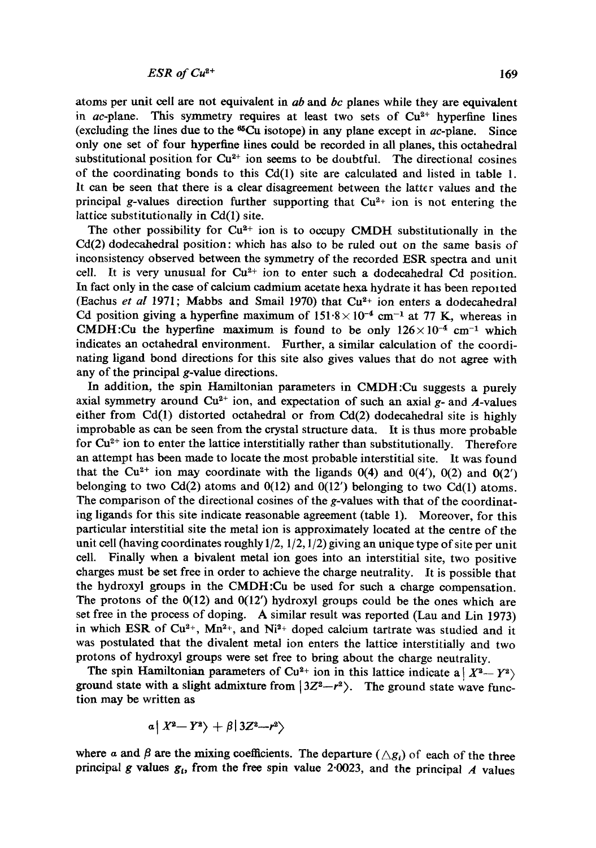atoms per unit cell are not equivalent in *ab* and *bc* planes while they are equivalent in ac-plane. This symmetry requires at least two sets of  $Cu<sup>2+</sup>$  hyperfine lines (excluding the lines due to the  $^{65}Cu$  isotope) in any plane except in ac-plane. Since only one set of four hyperfme lines could be recorded in all planes, this octahedral substitutional position for  $Cu<sup>2+</sup>$  ion seems to be doubtful. The directional cosines of the coordinating bonds to this Cd(1) site are calculated and listed in table 1. It can be seen that there is a clear disagreement between the latter values and the principal g-values direction further supporting that  $Cu<sup>2+</sup>$  ion is not entering the lattice substitutionally in Cd(1) site.

The other possibility for  $Cu^{2+}$  ion is to occupy CMDH substitutionally in the Cd(2) dodecahedral position: which has also to be ruled out on the same basis of inconsistency observed between the symmetry of the recorded ESR spectra and unit cell. It is very unusual for  $Cu^{2+}$  ion to enter such a dodecahedral Cd position. In fact only in the case of calcium cadmium acetate hexa hydrate it has been reported (Eachus *et al* 1971; Mabbs and Smail 1970) that  $Cu<sup>2+</sup>$  ion enters a dodecahedral Cd position giving a hyperfine maximum of  $151.8 \times 10^{-4}$  cm<sup>-1</sup> at 77 K, whereas in CMDH:Cu the hyperfine maximum is found to be only  $126 \times 10^{-4}$  cm<sup>-1</sup> which indicates an octahedral environment. Further, a similar calculation of the coordinating ligand bond directions for this site also gives values that do not agree with any of the principal g-value directions.

In addition, the spin Hamiltonian parameters in CMDH:Cu suggests a purely axial symmetry around  $Cu^{2+}$  ion, and expectation of such an axial g- and A-values either from Cd(1) distorted octahedral or from Cd(2) dodecahedral site is highly improbable as can be seen from the crystal structure data. It is thus more probable for  $Cu<sup>2+</sup>$  ion to enter the lattice interstitially rather than substitutionally. Therefore an attempt has been made to locate the most probable interstitial site. It was found that the Cu<sup>2+</sup> ion may coordinate with the ligands  $0(4)$  and  $0(4')$ ,  $0(2)$  and  $0(2')$ belonging to two Cd(2) atoms and  $0(12)$  and  $0(12')$  belonging to two Cd(1) atoms. The comparison of the directional cosines of the g-values with that of the coordinating ligands for this site indicate reasonable agreement (table 1). Moreover, for this particular interstitial site the metal ion is approximately located at the centre of the unit cell (having coordinates roughly  $1/2$ ,  $1/2$ ,  $1/2$ ) giving an unique type of site per unit cell. Finally when a bivalent metal ion goes into an interstitial site, two positive charges must be set free in order to achieve the charge neutrality. It is possible that the hydroxyl groups in the CMDH:Cu be used for such a charge compensation. The protons of the  $0(12)$  and  $0(12')$  hydroxyl groups could be the ones which are set free in the process of doping. A similar result was reported (Lau and Lin 1973) in which ESR of  $Cu^{2+}$ , Mn<sup>2+</sup>, and Ni<sup>2+</sup> doped calcium tartrate was studied and it was postulated that the divalent metal ion enters the lattice interstitially and two protons of hydroxyl groups were set free to bring about the charge neutrality.

The spin Hamiltonian parameters of Cu<sup>2+</sup> ion in this lattice indicate a  $|X^2-Y^2\rangle$ ground state with a slight admixture from  $|3Z^2-r^2\rangle$ . The ground state wave function may be written as

$$
a\left|\right. X^2\!-\!\left.Y^2\right\rangle+\beta\left|\left.3Z^2\!-\!r^2\right\rangle\right.
$$

where a and  $\beta$  are the mixing coefficients. The departure ( $\triangle g_i$ ) of each of the three principal g values  $g_t$ , from the free spin value 2.0023, and the principal A values